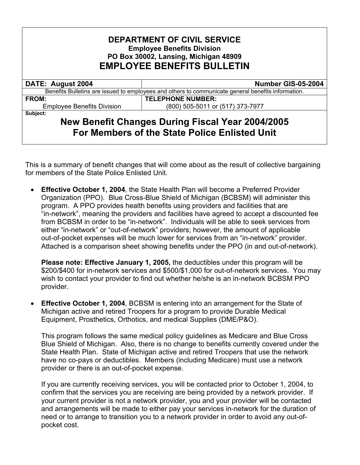## **DEPARTMENT OF CIVIL SERVICE Employee Benefits Division PO Box 30002, Lansing, Michigan 48909 EMPLOYEE BENEFITS BULLETIN**

## Benefits Bulletins are issued to employees and others to communicate general benefits information.

**DATE: August 2004 | Number GIS-05-2004** 

Employee Benefits Division (800) 505-5011 or (517) 373-7977

FROM: **TELEPHONE NUMBER:** 

**Subject:** 

## **New Benefit Changes During Fiscal Year 2004/2005 For Members of the State Police Enlisted Unit**

This is a summary of benefit changes that will come about as the result of collective bargaining for members of the State Police Enlisted Unit.

• **Effective October 1, 2004**, the State Health Plan will become a Preferred Provider Organization (PPO). Blue Cross-Blue Shield of Michigan (BCBSM) will administer this program. A PPO provides health benefits using providers and facilities that are "in-network", meaning the providers and facilities have agreed to accept a discounted fee from BCBSM in order to be "in-network". Individuals will be able to seek services from either "in-network" or "out-of-network" providers; however, the amount of applicable out-of-pocket expenses will be much lower for services from an "in-network" provider. Attached is a comparison sheet showing benefits under the PPO (in and out-of-network).

**Please note: Effective January 1, 2005,** the deductibles under this program will be \$200/\$400 for in-network services and \$500/\$1,000 for out-of-network services. You may wish to contact your provider to find out whether he/she is an in-network BCBSM PPO provider.

**Effective October 1, 2004, BCBSM is entering into an arrangement for the State of** Michigan active and retired Troopers for a program to provide Durable Medical Equipment, Prosthetics, Orthotics, and medical Supplies (DME/P&O).

This program follows the same medical policy guidelines as Medicare and Blue Cross Blue Shield of Michigan. Also, there is no change to benefits currently covered under the State Health Plan. State of Michigan active and retired Troopers that use the network have no co-pays or deductibles. Members (including Medicare) must use a network provider or there is an out-of-pocket expense.

If you are currently receiving services, you will be contacted prior to October 1, 2004, to confirm that the services you are receiving are being provided by a network provider. If your current provider is not a network provider, you and your provider will be contacted and arrangements will be made to either pay your services in-network for the duration of need or to arrange to transition you to a network provider in order to avoid any out-ofpocket cost.